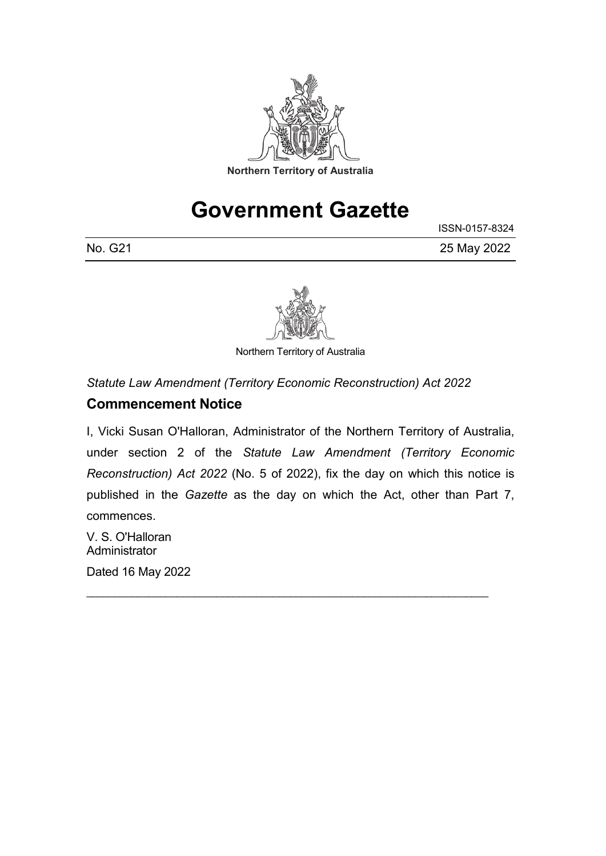

# **Government Gazette**

|         | ISSN-0157-8324 |
|---------|----------------|
| No. G21 | 25 May 2022    |



Northern Territory of Australia

*Statute Law Amendment (Territory Economic Reconstruction) Act 2022*

### **Commencement Notice**

I, Vicki Susan O'Halloran, Administrator of the Northern Territory of Australia, under section 2 of the *Statute Law Amendment (Territory Economic Reconstruction) Act 2022* (No. 5 of 2022), fix the day on which this notice is published in the *Gazette* as the day on which the Act, other than Part 7, commences.

\_\_\_\_\_\_\_\_\_\_\_\_\_\_\_\_\_\_\_\_\_\_\_\_\_\_\_\_\_\_\_\_\_\_\_\_\_\_\_\_\_\_\_\_\_\_\_\_\_\_\_\_\_\_\_\_\_\_\_\_\_\_\_\_\_\_\_\_\_\_\_

V. S. O'Halloran Administrator

Dated 16 May 2022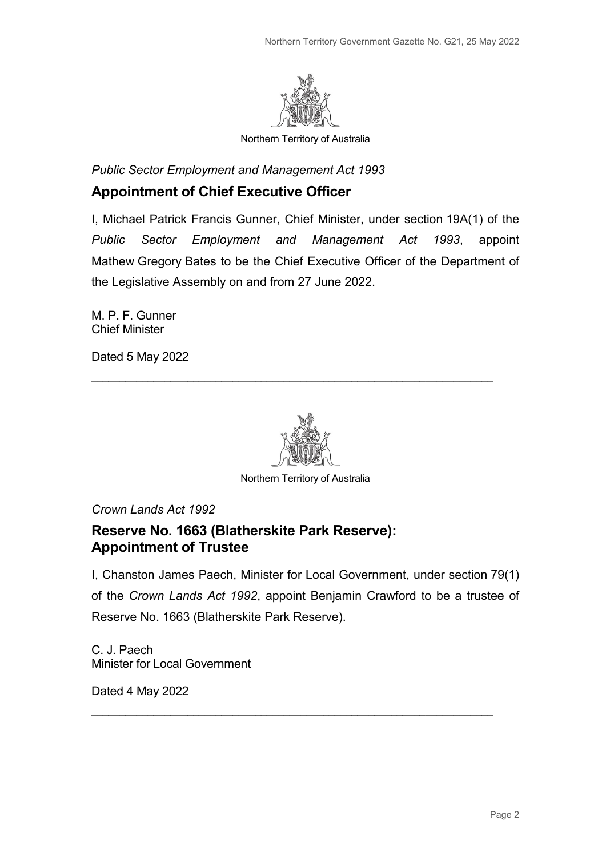

Northern Territory of Australia

*Public Sector Employment and Management Act 1993*

### **Appointment of Chief Executive Officer**

I, Michael Patrick Francis Gunner, Chief Minister, under section 19A(1) of the *Public Sector Employment and Management Act 1993*, appoint Mathew Gregory Bates to be the Chief Executive Officer of the Department of the Legislative Assembly on and from 27 June 2022.

M. P. F. Gunner Chief Minister

Dated 5 May 2022



\_\_\_\_\_\_\_\_\_\_\_\_\_\_\_\_\_\_\_\_\_\_\_\_\_\_\_\_\_\_\_\_\_\_\_\_\_\_\_\_\_\_\_\_\_\_\_\_\_\_\_\_\_\_\_\_\_\_\_\_\_\_\_\_\_\_\_\_\_\_\_

Northern Territory of Australia

*Crown Lands Act 1992*

### **Reserve No. 1663 (Blatherskite Park Reserve): Appointment of Trustee**

I, Chanston James Paech, Minister for Local Government, under section 79(1) of the *Crown Lands Act 1992*, appoint Benjamin Crawford to be a trustee of Reserve No. 1663 (Blatherskite Park Reserve).

\_\_\_\_\_\_\_\_\_\_\_\_\_\_\_\_\_\_\_\_\_\_\_\_\_\_\_\_\_\_\_\_\_\_\_\_\_\_\_\_\_\_\_\_\_\_\_\_\_\_\_\_\_\_\_\_\_\_\_\_\_\_\_\_\_\_\_\_\_\_\_

C. J. Paech Minister for Local Government

Dated 4 May 2022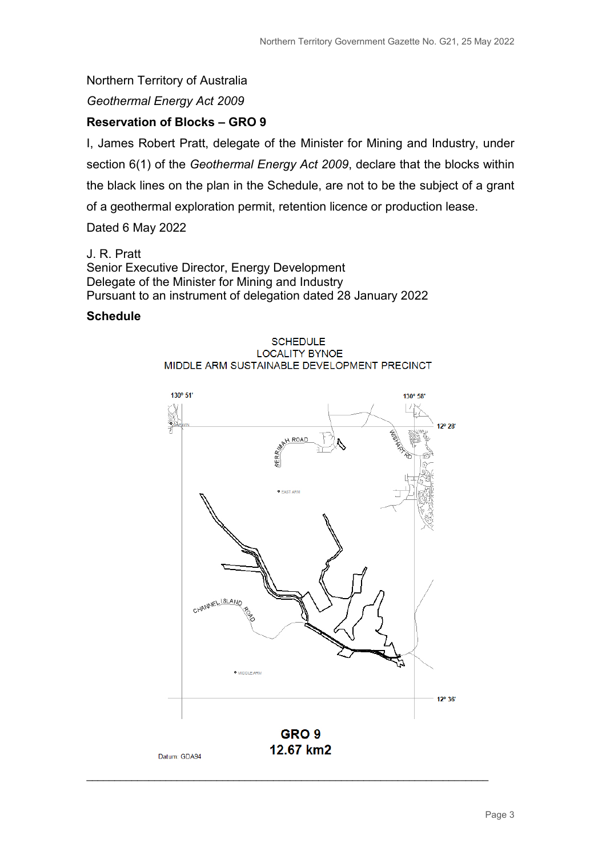#### Northern Territory of Australia

*Geothermal Energy Act 2009*

#### **Reservation of Blocks – GRO 9**

I, James Robert Pratt, delegate of the Minister for Mining and Industry, under section 6(1) of the *Geothermal Energy Act 2009*, declare that the blocks within the black lines on the plan in the Schedule, are not to be the subject of a grant of a geothermal exploration permit, retention licence or production lease.

Dated 6 May 2022

J. R. Pratt Senior Executive Director, Energy Development Delegate of the Minister for Mining and Industry Pursuant to an instrument of delegation dated 28 January 2022

#### **Schedule**